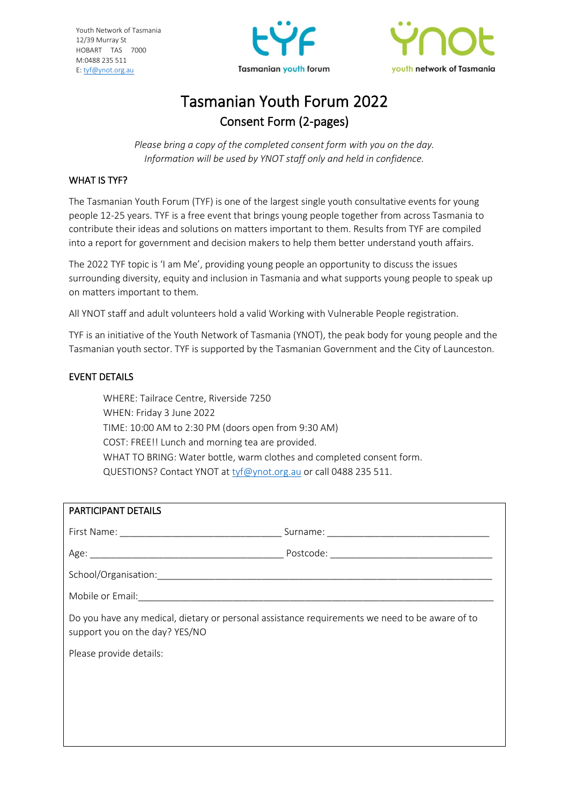Youth Network of Tasmania 12/39 Murray St HOBART TAS 7000 M:0488 235 511 E[: tyf@ynot.org.au](mailto:tyf@ynot.org.au)





# Tasmanian Youth Forum 2022 Consent Form (2-pages)

*Please bring a copy of the completed consent form with you on the day. Information will be used by YNOT staff only and held in confidence.*

## WHAT IS TYF?

The Tasmanian Youth Forum (TYF) is one of the largest single youth consultative events for young people 12-25 years. TYF is a free event that brings young people together from across Tasmania to contribute their ideas and solutions on matters important to them. Results from TYF are compiled into a report for government and decision makers to help them better understand youth affairs.

The 2022 TYF topic is 'I am Me', providing young people an opportunity to discuss the issues surrounding diversity, equity and inclusion in Tasmania and what supports young people to speak up on matters important to them.

All YNOT staff and adult volunteers hold a valid Working with Vulnerable People registration.

TYF is an initiative of the Youth Network of Tasmania (YNOT), the peak body for young people and the Tasmanian youth sector. TYF is supported by the Tasmanian Government and the City of Launceston.

## EVENT DETAILS

WHERE: Tailrace Centre, Riverside 7250 WHEN: Friday 3 June 2022 TIME: 10:00 AM to 2:30 PM (doors open from 9:30 AM) COST: FREE!! Lunch and morning tea are provided. WHAT TO BRING: Water bottle, warm clothes and completed consent form. QUESTIONS? Contact YNOT at [tyf@ynot.org.au](mailto:tyf@ynot.org.au) or call 0488 235 511.

| PARTICIPANT DETAILS                                                                                                              |  |
|----------------------------------------------------------------------------------------------------------------------------------|--|
|                                                                                                                                  |  |
|                                                                                                                                  |  |
|                                                                                                                                  |  |
|                                                                                                                                  |  |
| Do you have any medical, dietary or personal assistance requirements we need to be aware of to<br>support you on the day? YES/NO |  |
| Please provide details:                                                                                                          |  |
|                                                                                                                                  |  |
|                                                                                                                                  |  |
|                                                                                                                                  |  |
|                                                                                                                                  |  |
|                                                                                                                                  |  |